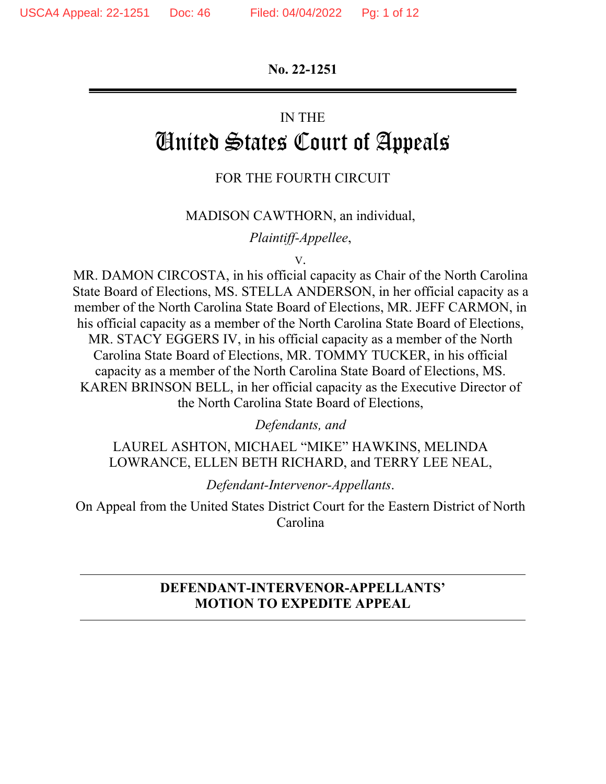**No. 22-1251** 

#### IN THE

# United States Court of Appeals

# FOR THE FOURTH CIRCUIT

#### MADISON CAWTHORN, an individual,

*Plaintiff-Appellee*,

V.

MR. DAMON CIRCOSTA, in his official capacity as Chair of the North Carolina State Board of Elections, MS. STELLA ANDERSON, in her official capacity as a member of the North Carolina State Board of Elections, MR. JEFF CARMON, in his official capacity as a member of the North Carolina State Board of Elections, MR. STACY EGGERS IV, in his official capacity as a member of the North Carolina State Board of Elections, MR. TOMMY TUCKER, in his official capacity as a member of the North Carolina State Board of Elections, MS. KAREN BRINSON BELL, in her official capacity as the Executive Director of the North Carolina State Board of Elections,

*Defendants, and* 

LAUREL ASHTON, MICHAEL "MIKE" HAWKINS, MELINDA LOWRANCE, ELLEN BETH RICHARD, and TERRY LEE NEAL,

*Defendant-Intervenor-Appellants*.

On Appeal from the United States District Court for the Eastern District of North Carolina

# **DEFENDANT-INTERVENOR-APPELLANTS' MOTION TO EXPEDITE APPEAL**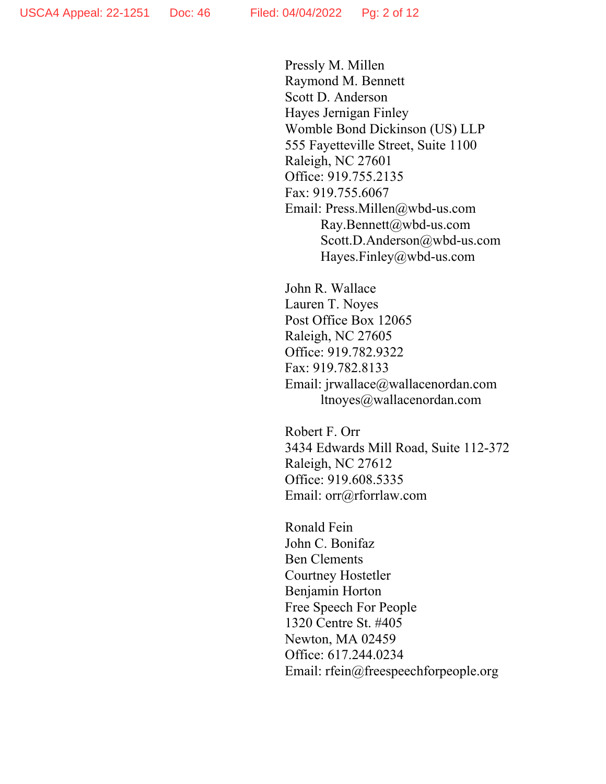Pressly M. Millen Raymond M. Bennett Scott D. Anderson Hayes Jernigan Finley Womble Bond Dickinson (US) LLP 555 Fayetteville Street, Suite 1100 Raleigh, NC 27601 Office: 919.755.2135 Fax: 919.755.6067 Email: Press.Millen@wbd-us.com Ray.Bennett@wbd-us.com Scott.D.Anderson@wbd-us.com Hayes.Finley@wbd-us.com

John R. Wallace Lauren T. Noyes Post Office Box 12065 Raleigh, NC 27605 Office: 919.782.9322 Fax: 919.782.8133 Email: jrwallace@wallacenordan.com ltnoyes@wallacenordan.com

Robert F. Orr 3434 Edwards Mill Road, Suite 112-372 Raleigh, NC 27612 Office: 919.608.5335 Email: orr@rforrlaw.com

Ronald Fein John C. Bonifaz Ben Clements Courtney Hostetler Benjamin Horton Free Speech For People 1320 Centre St. #405 Newton, MA 02459 Office: 617.244.0234 Email: rfein@freespeechforpeople.org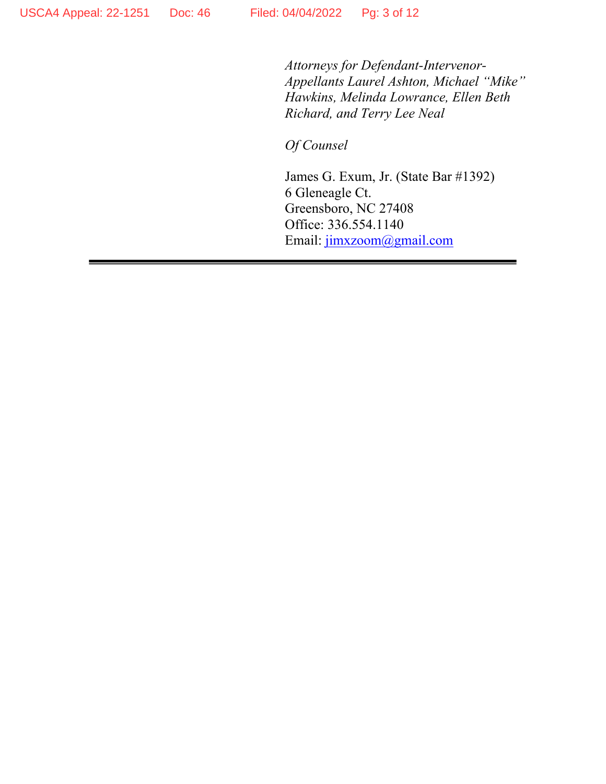*Attorneys for Defendant-Intervenor-Appellants Laurel Ashton, Michael "Mike" Hawkins, Melinda Lowrance, Ellen Beth Richard, and Terry Lee Neal* 

*Of Counsel* 

James G. Exum, Jr. (State Bar #1392) 6 Gleneagle Ct. Greensboro, NC 27408 Office: 336.554.1140 Email: jimxzoom@gmail.com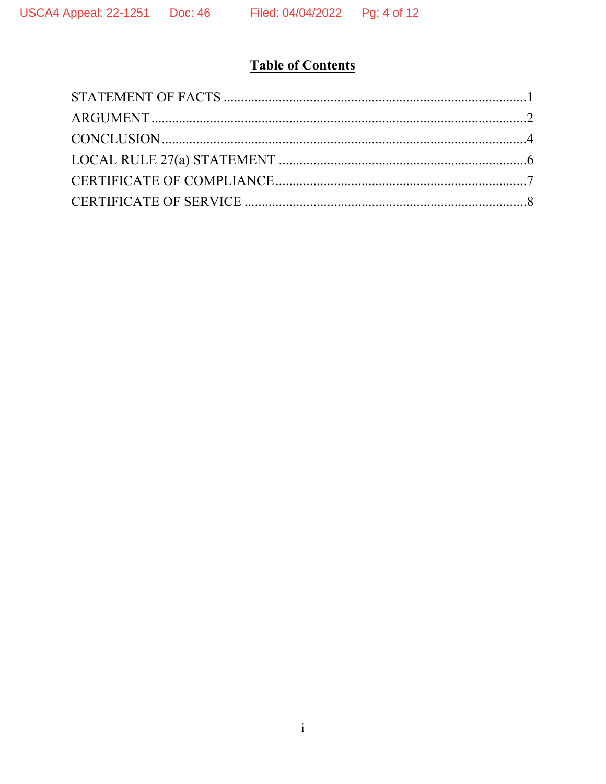# **Table of Contents**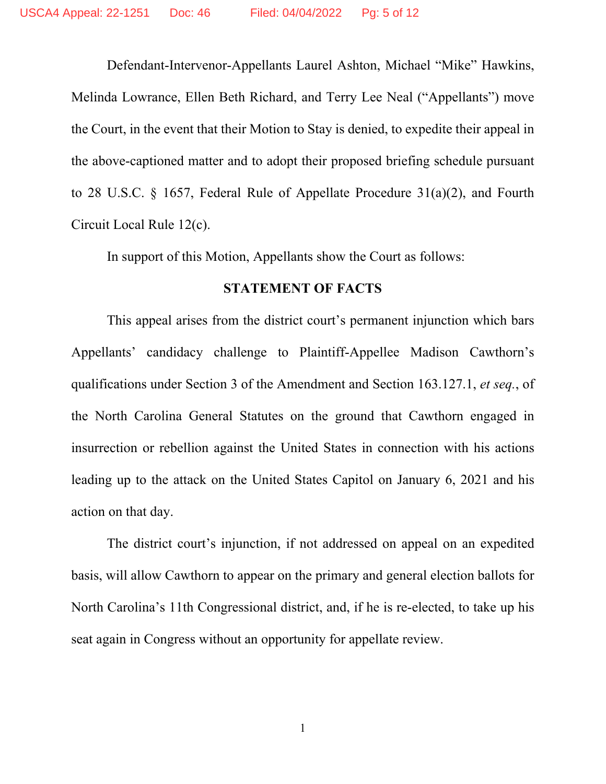Defendant-Intervenor-Appellants Laurel Ashton, Michael "Mike" Hawkins, Melinda Lowrance, Ellen Beth Richard, and Terry Lee Neal ("Appellants") move the Court, in the event that their Motion to Stay is denied, to expedite their appeal in the above-captioned matter and to adopt their proposed briefing schedule pursuant to 28 U.S.C. § 1657, Federal Rule of Appellate Procedure 31(a)(2), and Fourth Circuit Local Rule 12(c).

In support of this Motion, Appellants show the Court as follows:

#### **STATEMENT OF FACTS**

This appeal arises from the district court's permanent injunction which bars Appellants' candidacy challenge to Plaintiff-Appellee Madison Cawthorn's qualifications under Section 3 of the Amendment and Section 163.127.1, *et seq.*, of the North Carolina General Statutes on the ground that Cawthorn engaged in insurrection or rebellion against the United States in connection with his actions leading up to the attack on the United States Capitol on January 6, 2021 and his action on that day.

The district court's injunction, if not addressed on appeal on an expedited basis, will allow Cawthorn to appear on the primary and general election ballots for North Carolina's 11th Congressional district, and, if he is re-elected, to take up his seat again in Congress without an opportunity for appellate review.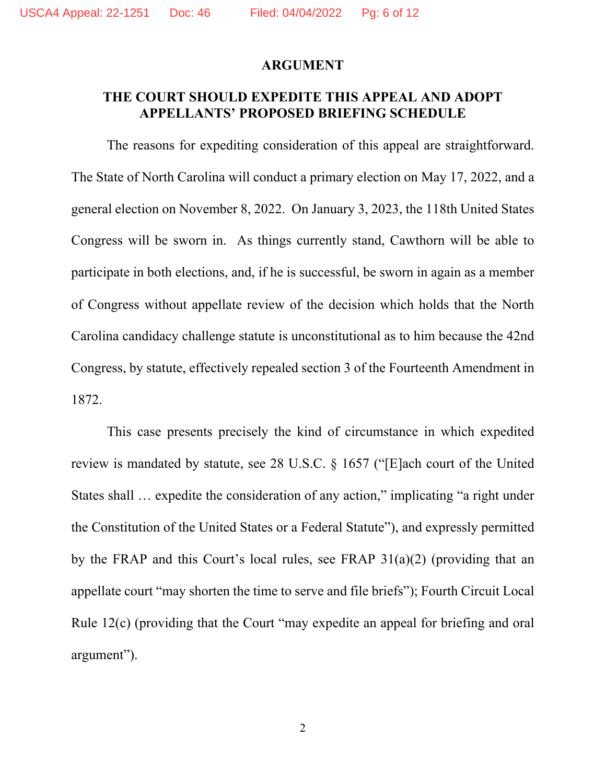#### **ARGUMENT**

## **THE COURT SHOULD EXPEDITE THIS APPEAL AND ADOPT APPELLANTS' PROPOSED BRIEFING SCHEDULE**

The reasons for expediting consideration of this appeal are straightforward. The State of North Carolina will conduct a primary election on May 17, 2022, and a general election on November 8, 2022. On January 3, 2023, the 118th United States Congress will be sworn in. As things currently stand, Cawthorn will be able to participate in both elections, and, if he is successful, be sworn in again as a member of Congress without appellate review of the decision which holds that the North Carolina candidacy challenge statute is unconstitutional as to him because the 42nd Congress, by statute, effectively repealed section 3 of the Fourteenth Amendment in 1872.

 This case presents precisely the kind of circumstance in which expedited review is mandated by statute, see 28 U.S.C. § 1657 ("[E]ach court of the United States shall … expedite the consideration of any action," implicating "a right under the Constitution of the United States or a Federal Statute"), and expressly permitted by the FRAP and this Court's local rules, see FRAP 31(a)(2) (providing that an appellate court "may shorten the time to serve and file briefs"); Fourth Circuit Local Rule 12(c) (providing that the Court "may expedite an appeal for briefing and oral argument").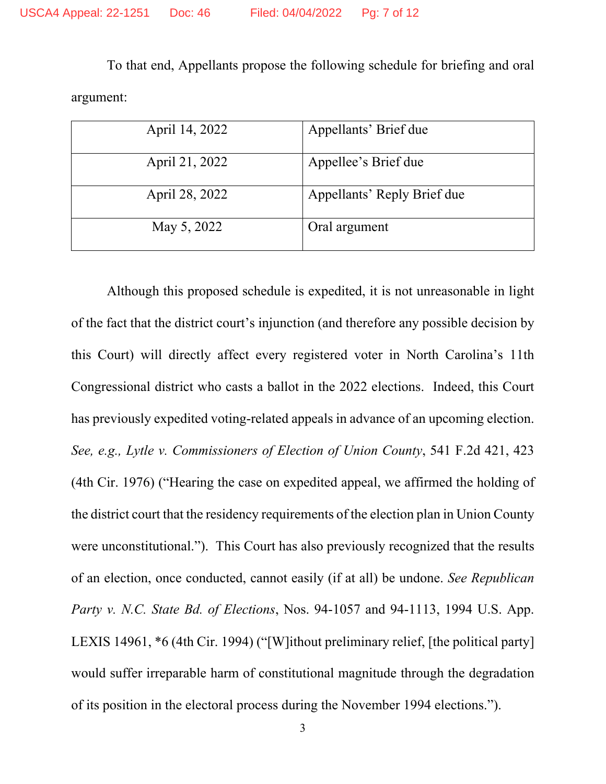To that end, Appellants propose the following schedule for briefing and oral argument:

| April 14, 2022 | Appellants' Brief due       |
|----------------|-----------------------------|
| April 21, 2022 | Appellee's Brief due        |
| April 28, 2022 | Appellants' Reply Brief due |
| May 5, 2022    | Oral argument               |

Although this proposed schedule is expedited, it is not unreasonable in light of the fact that the district court's injunction (and therefore any possible decision by this Court) will directly affect every registered voter in North Carolina's 11th Congressional district who casts a ballot in the 2022 elections. Indeed, this Court has previously expedited voting-related appeals in advance of an upcoming election. *See, e.g., Lytle v. Commissioners of Election of Union County*, 541 F.2d 421, 423 (4th Cir. 1976) ("Hearing the case on expedited appeal, we affirmed the holding of the district court that the residency requirements of the election plan in Union County were unconstitutional."). This Court has also previously recognized that the results of an election, once conducted, cannot easily (if at all) be undone. *See Republican Party v. N.C. State Bd. of Elections*, Nos. 94-1057 and 94-1113, 1994 U.S. App. LEXIS 14961, \*6 (4th Cir. 1994) ("[W]ithout preliminary relief, [the political party] would suffer irreparable harm of constitutional magnitude through the degradation of its position in the electoral process during the November 1994 elections.").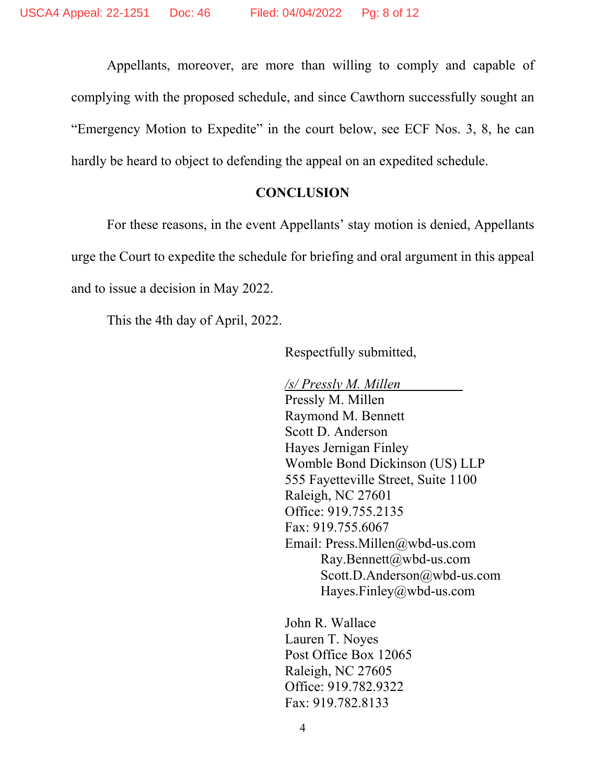Appellants, moreover, are more than willing to comply and capable of complying with the proposed schedule, and since Cawthorn successfully sought an "Emergency Motion to Expedite" in the court below, see ECF Nos. 3, 8, he can hardly be heard to object to defending the appeal on an expedited schedule.

#### **CONCLUSION**

For these reasons, in the event Appellants' stay motion is denied, Appellants urge the Court to expedite the schedule for briefing and oral argument in this appeal and to issue a decision in May 2022.

This the 4th day of April, 2022.

Respectfully submitted,

*/s/ Pressly M. Millen*  Pressly M. Millen Raymond M. Bennett Scott D. Anderson Hayes Jernigan Finley Womble Bond Dickinson (US) LLP 555 Fayetteville Street, Suite 1100 Raleigh, NC 27601 Office: 919.755.2135 Fax: 919.755.6067 Email: Press.Millen@wbd-us.com Ray.Bennett@wbd-us.com Scott.D.Anderson@wbd-us.com Hayes.Finley@wbd-us.com

John R. Wallace Lauren T. Noyes Post Office Box 12065 Raleigh, NC 27605 Office: 919.782.9322 Fax: 919.782.8133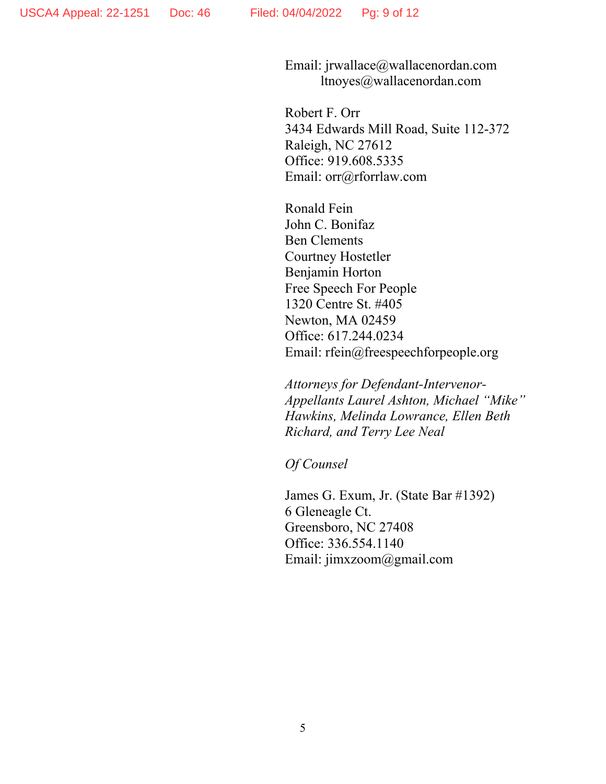Email: jrwallace@wallacenordan.com ltnoyes@wallacenordan.com

Robert F. Orr 3434 Edwards Mill Road, Suite 112-372 Raleigh, NC 27612 Office: 919.608.5335 Email: orr@rforrlaw.com

Ronald Fein John C. Bonifaz Ben Clements Courtney Hostetler Benjamin Horton Free Speech For People 1320 Centre St. #405 Newton, MA 02459 Office: 617.244.0234 Email: rfein@freespeechforpeople.org

*Attorneys for Defendant-Intervenor-Appellants Laurel Ashton, Michael "Mike" Hawkins, Melinda Lowrance, Ellen Beth Richard, and Terry Lee Neal* 

*Of Counsel* 

James G. Exum, Jr. (State Bar #1392) 6 Gleneagle Ct. Greensboro, NC 27408 Office: 336.554.1140 Email: jimxzoom@gmail.com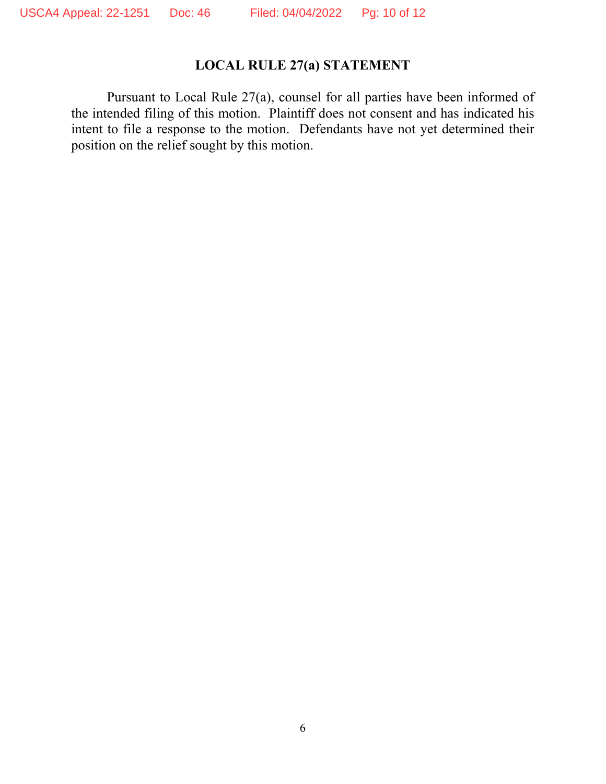# **LOCAL RULE 27(a) STATEMENT**

Pursuant to Local Rule 27(a), counsel for all parties have been informed of the intended filing of this motion. Plaintiff does not consent and has indicated his intent to file a response to the motion. Defendants have not yet determined their position on the relief sought by this motion.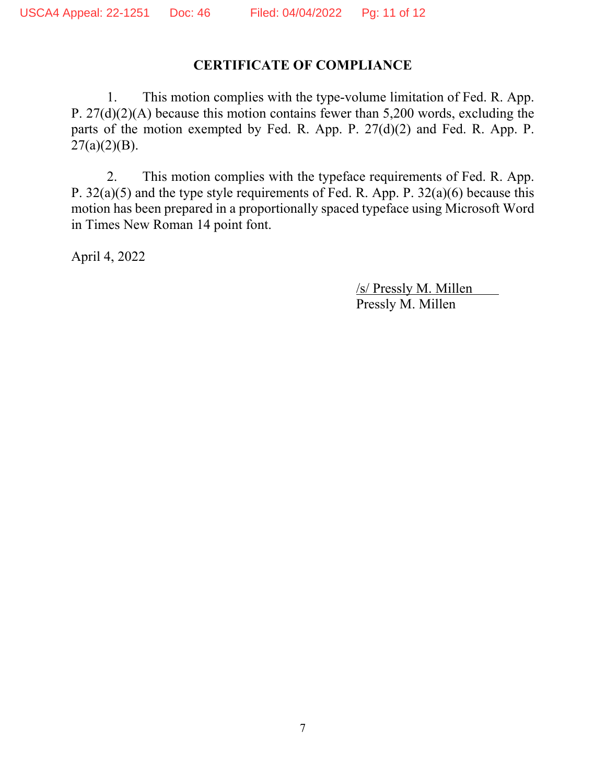# **CERTIFICATE OF COMPLIANCE**

1. This motion complies with the type-volume limitation of Fed. R. App. P. 27(d)(2)(A) because this motion contains fewer than 5,200 words, excluding the parts of the motion exempted by Fed. R. App. P. 27(d)(2) and Fed. R. App. P.  $27(a)(2)(B)$ .

2. This motion complies with the typeface requirements of Fed. R. App. P. 32(a)(5) and the type style requirements of Fed. R. App. P. 32(a)(6) because this motion has been prepared in a proportionally spaced typeface using Microsoft Word in Times New Roman 14 point font.

April 4, 2022

 /s/ Pressly M. Millen Pressly M. Millen